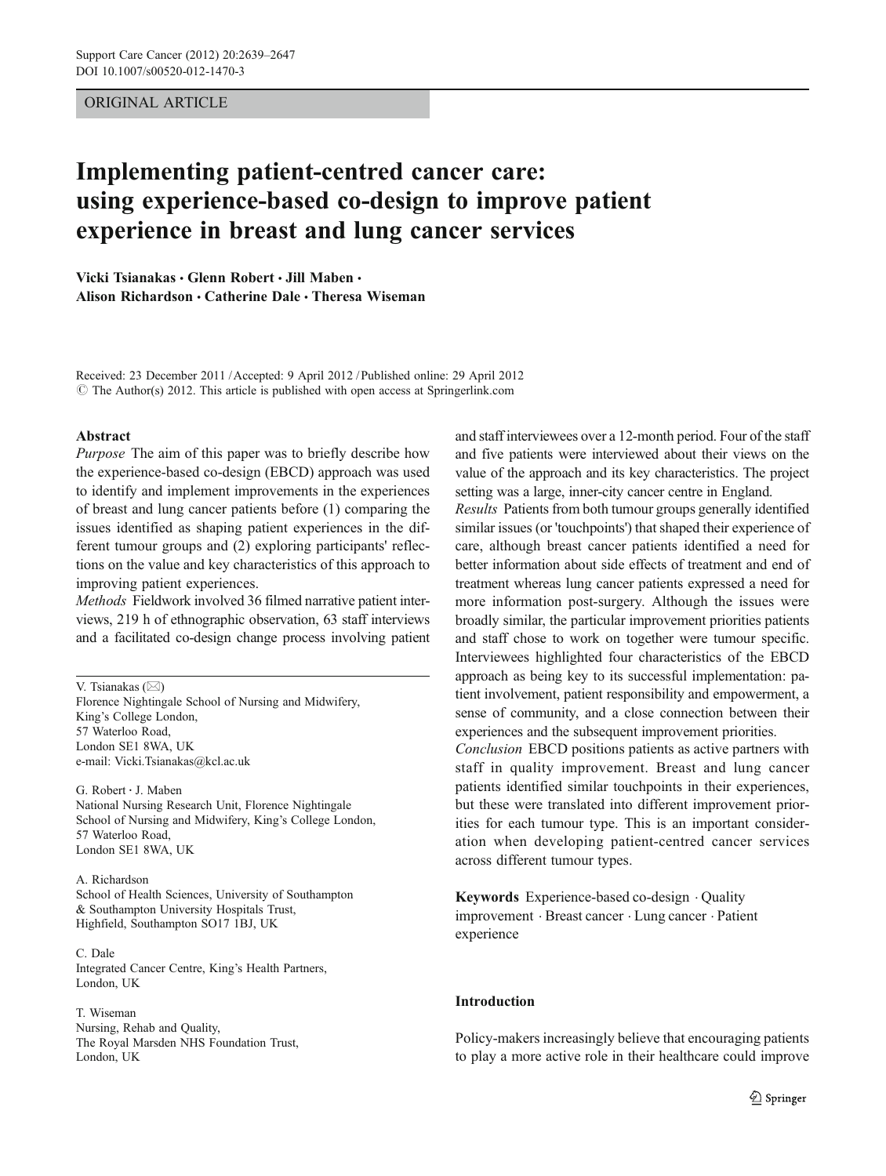# ORIGINAL ARTICLE

# Implementing patient-centred cancer care: using experience-based co-design to improve patient experience in breast and lung cancer services

Vicki Tsianakas · Glenn Robert · Jill Maben · Alison Richardson & Catherine Dale & Theresa Wiseman

Received: 23 December 2011 /Accepted: 9 April 2012 / Published online: 29 April 2012  $\circ$  The Author(s) 2012. This article is published with open access at Springerlink.com

#### Abstract

Purpose The aim of this paper was to briefly describe how the experience-based co-design (EBCD) approach was used to identify and implement improvements in the experiences of breast and lung cancer patients before (1) comparing the issues identified as shaping patient experiences in the different tumour groups and (2) exploring participants' reflections on the value and key characteristics of this approach to improving patient experiences.

Methods Fieldwork involved 36 filmed narrative patient interviews, 219 h of ethnographic observation, 63 staff interviews and a facilitated co-design change process involving patient

V. Tsianakas  $(\boxtimes)$ Florence Nightingale School of Nursing and Midwifery, King's College London, 57 Waterloo Road, London SE1 8WA, UK e-mail: Vicki.Tsianakas@kcl.ac.uk

G. Robert : J. Maben National Nursing Research Unit, Florence Nightingale School of Nursing and Midwifery, King's College London, 57 Waterloo Road, London SE1 8WA, UK

#### A. Richardson School of Health Sciences, University of Southampton & Southampton University Hospitals Trust, Highfield, Southampton SO17 1BJ, UK

C. Dale Integrated Cancer Centre, King's Health Partners, London, UK

## T. Wiseman

Nursing, Rehab and Quality, The Royal Marsden NHS Foundation Trust, London, UK

and staff interviewees over a 12-month period. Four of the staff and five patients were interviewed about their views on the value of the approach and its key characteristics. The project setting was a large, inner-city cancer centre in England.

Results Patients from both tumour groups generally identified similar issues (or 'touchpoints') that shaped their experience of care, although breast cancer patients identified a need for better information about side effects of treatment and end of treatment whereas lung cancer patients expressed a need for more information post-surgery. Although the issues were broadly similar, the particular improvement priorities patients and staff chose to work on together were tumour specific. Interviewees highlighted four characteristics of the EBCD approach as being key to its successful implementation: patient involvement, patient responsibility and empowerment, a sense of community, and a close connection between their experiences and the subsequent improvement priorities. Conclusion EBCD positions patients as active partners with staff in quality improvement. Breast and lung cancer patients identified similar touchpoints in their experiences, but these were translated into different improvement priorities for each tumour type. This is an important consideration when developing patient-centred cancer services

Keywords Experience-based co-design . Quality improvement . Breast cancer . Lung cancer . Patient experience

across different tumour types.

#### Introduction

Policy-makers increasingly believe that encouraging patients to play a more active role in their healthcare could improve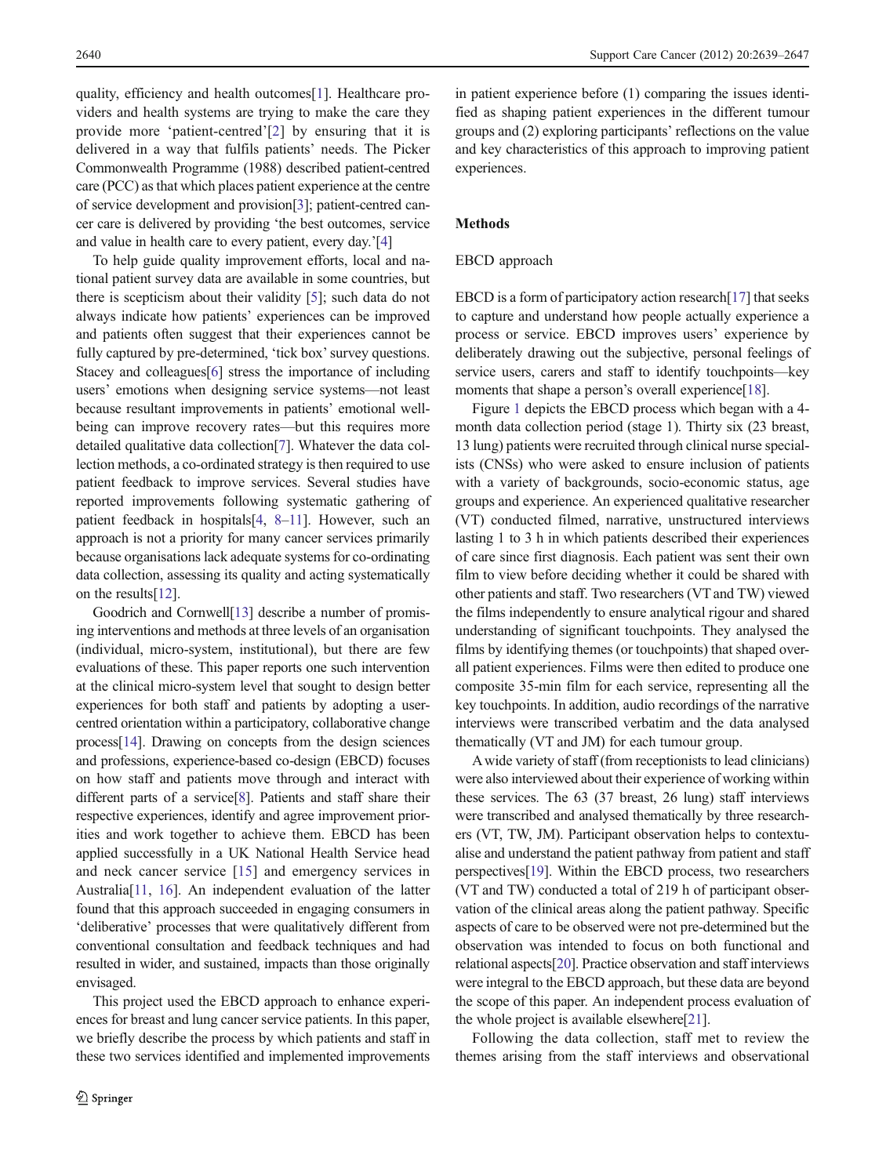quality, efficiency and health outcomes[[1\]](#page-7-0). Healthcare providers and health systems are trying to make the care they provide more 'patient-centred'[\[2](#page-7-0)] by ensuring that it is delivered in a way that fulfils patients' needs. The Picker Commonwealth Programme (1988) described patient-centred care (PCC) as that which places patient experience at the centre of service development and provision[[3](#page-7-0)]; patient-centred cancer care is delivered by providing 'the best outcomes, service and value in health care to every patient, every day.'[[4\]](#page-7-0)

To help guide quality improvement efforts, local and national patient survey data are available in some countries, but there is scepticism about their validity [\[5\]](#page-7-0); such data do not always indicate how patients' experiences can be improved and patients often suggest that their experiences cannot be fully captured by pre-determined, 'tick box' survey questions. Stacey and colleagues[[6\]](#page-7-0) stress the importance of including users' emotions when designing service systems—not least because resultant improvements in patients' emotional wellbeing can improve recovery rates—but this requires more detailed qualitative data collection[\[7](#page-7-0)]. Whatever the data collection methods, a co-ordinated strategy is then required to use patient feedback to improve services. Several studies have reported improvements following systematic gathering of patient feedback in hospitals[\[4,](#page-7-0) [8](#page-7-0)–[11\]](#page-7-0). However, such an approach is not a priority for many cancer services primarily because organisations lack adequate systems for co-ordinating data collection, assessing its quality and acting systematically on the results[\[12\]](#page-7-0).

Goodrich and Cornwell[[13](#page-7-0)] describe a number of promising interventions and methods at three levels of an organisation (individual, micro-system, institutional), but there are few evaluations of these. This paper reports one such intervention at the clinical micro-system level that sought to design better experiences for both staff and patients by adopting a usercentred orientation within a participatory, collaborative change process[[14](#page-7-0)]. Drawing on concepts from the design sciences and professions, experience-based co-design (EBCD) focuses on how staff and patients move through and interact with different parts of a service[\[8](#page-7-0)]. Patients and staff share their respective experiences, identify and agree improvement priorities and work together to achieve them. EBCD has been applied successfully in a UK National Health Service head and neck cancer service [[15\]](#page-7-0) and emergency services in Australia[\[11,](#page-7-0) [16](#page-7-0)]. An independent evaluation of the latter found that this approach succeeded in engaging consumers in 'deliberative' processes that were qualitatively different from conventional consultation and feedback techniques and had resulted in wider, and sustained, impacts than those originally envisaged.

This project used the EBCD approach to enhance experiences for breast and lung cancer service patients. In this paper, we briefly describe the process by which patients and staff in these two services identified and implemented improvements in patient experience before (1) comparing the issues identified as shaping patient experiences in the different tumour groups and (2) exploring participants' reflections on the value and key characteristics of this approach to improving patient experiences.

## Methods

#### EBCD approach

EBCD is a form of participatory action research[[17\]](#page-7-0) that seeks to capture and understand how people actually experience a process or service. EBCD improves users' experience by deliberately drawing out the subjective, personal feelings of service users, carers and staff to identify touchpoints—key moments that shape a person's overall experience[\[18](#page-7-0)].

Figure [1](#page-2-0) depicts the EBCD process which began with a 4 month data collection period (stage 1). Thirty six (23 breast, 13 lung) patients were recruited through clinical nurse specialists (CNSs) who were asked to ensure inclusion of patients with a variety of backgrounds, socio-economic status, age groups and experience. An experienced qualitative researcher (VT) conducted filmed, narrative, unstructured interviews lasting 1 to 3 h in which patients described their experiences of care since first diagnosis. Each patient was sent their own film to view before deciding whether it could be shared with other patients and staff. Two researchers (VT and TW) viewed the films independently to ensure analytical rigour and shared understanding of significant touchpoints. They analysed the films by identifying themes (or touchpoints) that shaped overall patient experiences. Films were then edited to produce one composite 35-min film for each service, representing all the key touchpoints. In addition, audio recordings of the narrative interviews were transcribed verbatim and the data analysed thematically (VT and JM) for each tumour group.

Awide variety of staff (from receptionists to lead clinicians) were also interviewed about their experience of working within these services. The 63 (37 breast, 26 lung) staff interviews were transcribed and analysed thematically by three researchers (VT, TW, JM). Participant observation helps to contextualise and understand the patient pathway from patient and staff perspectives[\[19\]](#page-7-0). Within the EBCD process, two researchers (VT and TW) conducted a total of 219 h of participant observation of the clinical areas along the patient pathway. Specific aspects of care to be observed were not pre-determined but the observation was intended to focus on both functional and relational aspects[\[20\]](#page-7-0). Practice observation and staff interviews were integral to the EBCD approach, but these data are beyond the scope of this paper. An independent process evaluation of the whole project is available elsewhere[[21](#page-7-0)].

Following the data collection, staff met to review the themes arising from the staff interviews and observational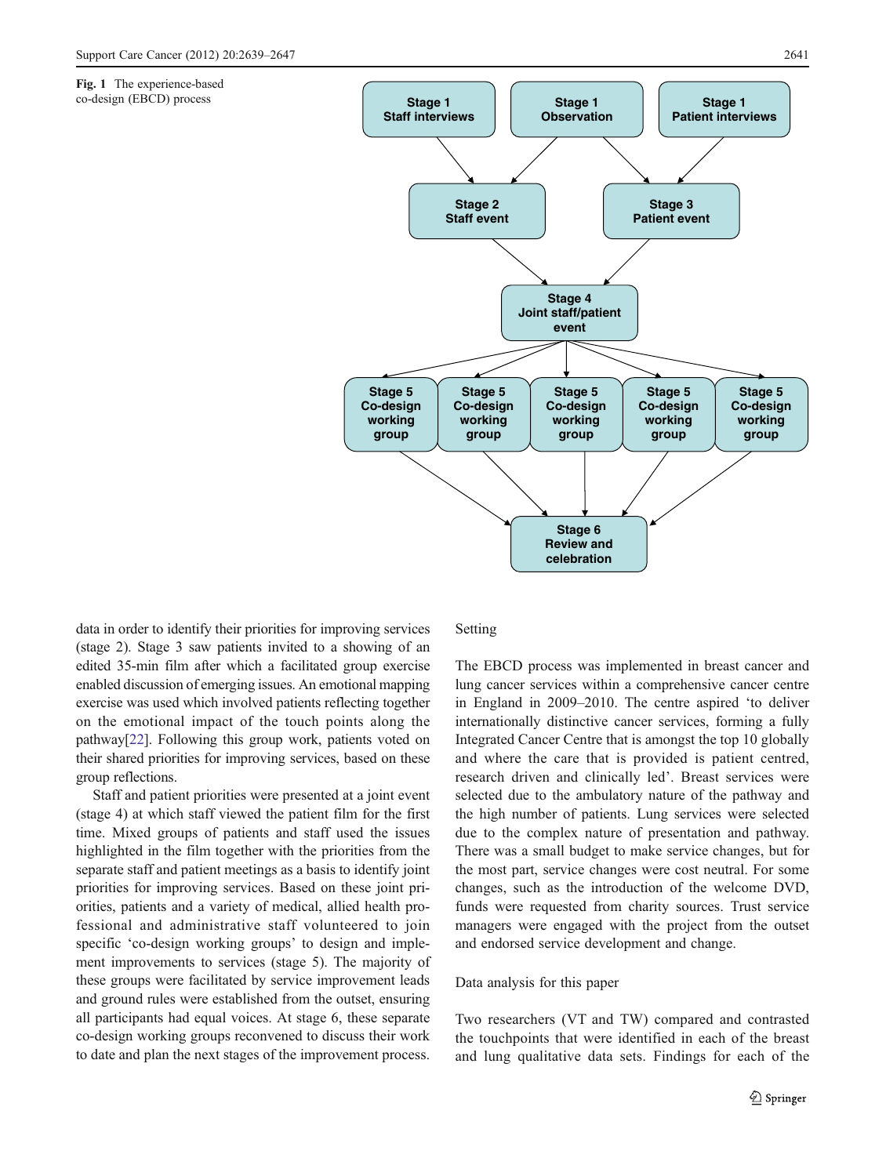<span id="page-2-0"></span>Fig. 1 The experience-based co-design (EBCD) process



data in order to identify their priorities for improving services (stage 2). Stage 3 saw patients invited to a showing of an edited 35-min film after which a facilitated group exercise enabled discussion of emerging issues. An emotional mapping exercise was used which involved patients reflecting together on the emotional impact of the touch points along the pathway[\[22\]](#page-7-0). Following this group work, patients voted on their shared priorities for improving services, based on these group reflections.

Staff and patient priorities were presented at a joint event (stage 4) at which staff viewed the patient film for the first time. Mixed groups of patients and staff used the issues highlighted in the film together with the priorities from the separate staff and patient meetings as a basis to identify joint priorities for improving services. Based on these joint priorities, patients and a variety of medical, allied health professional and administrative staff volunteered to join specific 'co-design working groups' to design and implement improvements to services (stage 5). The majority of these groups were facilitated by service improvement leads and ground rules were established from the outset, ensuring all participants had equal voices. At stage 6, these separate co-design working groups reconvened to discuss their work to date and plan the next stages of the improvement process.

Setting

The EBCD process was implemented in breast cancer and lung cancer services within a comprehensive cancer centre in England in 2009–2010. The centre aspired 'to deliver internationally distinctive cancer services, forming a fully Integrated Cancer Centre that is amongst the top 10 globally and where the care that is provided is patient centred, research driven and clinically led'. Breast services were selected due to the ambulatory nature of the pathway and the high number of patients. Lung services were selected due to the complex nature of presentation and pathway. There was a small budget to make service changes, but for the most part, service changes were cost neutral. For some changes, such as the introduction of the welcome DVD, funds were requested from charity sources. Trust service managers were engaged with the project from the outset and endorsed service development and change.

## Data analysis for this paper

Two researchers (VT and TW) compared and contrasted the touchpoints that were identified in each of the breast and lung qualitative data sets. Findings for each of the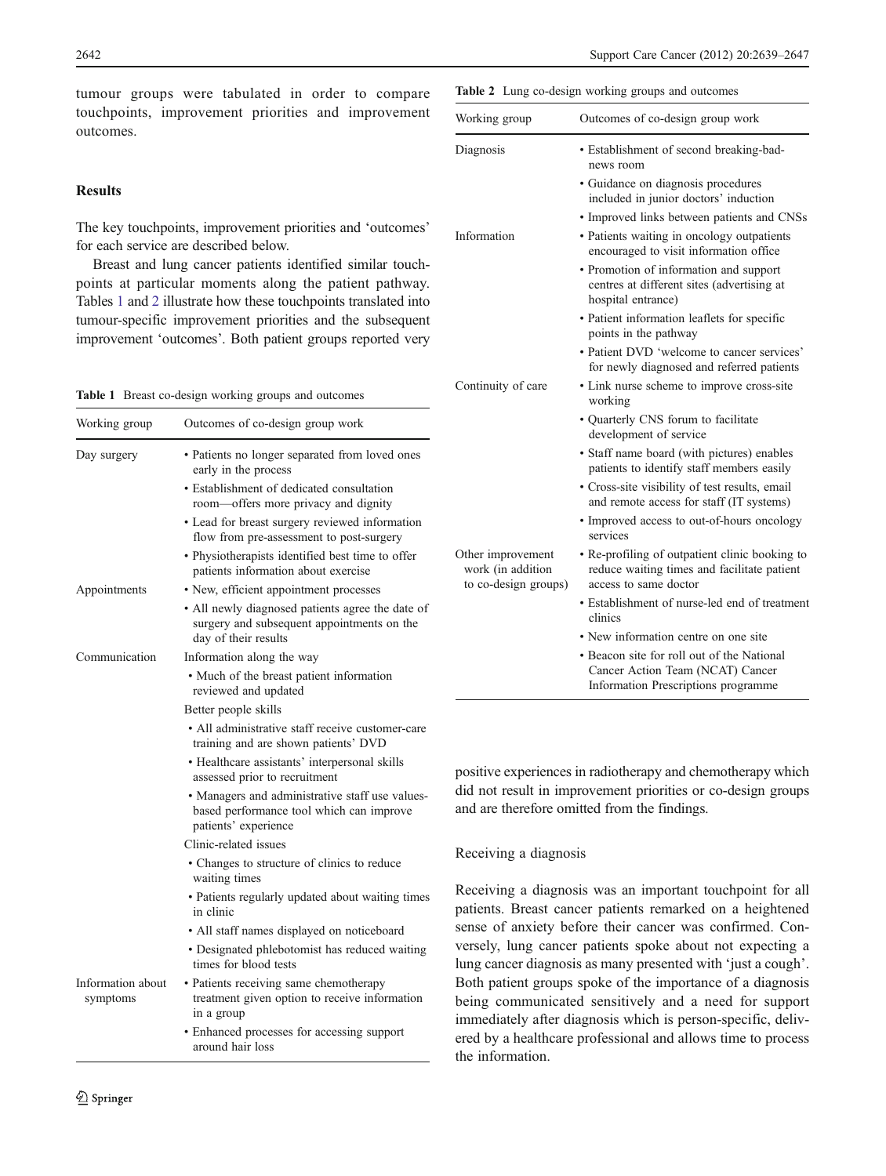<span id="page-3-0"></span>tumour groups were tabulated in order to compare touchpoints, improvement priorities and improvement outcomes.

# Results

The key touchpoints, improvement priorities and 'outcomes' for each service are described below.

Breast and lung cancer patients identified similar touchpoints at particular moments along the patient pathway. Tables 1 and 2 illustrate how these touchpoints translated into tumour-specific improvement priorities and the subsequent improvement 'outcomes'. Both patient groups reported very

Table 1 Breast co-design working groups and outcomes

| Working group                 | Outcomes of co-design group work                                                                                       |  |
|-------------------------------|------------------------------------------------------------------------------------------------------------------------|--|
| Day surgery                   | • Patients no longer separated from loved ones<br>early in the process                                                 |  |
|                               | • Establishment of dedicated consultation<br>room-offers more privacy and dignity                                      |  |
|                               | • Lead for breast surgery reviewed information<br>flow from pre-assessment to post-surgery                             |  |
|                               | • Physiotherapists identified best time to offer<br>patients information about exercise                                |  |
| Appointments                  | • New, efficient appointment processes                                                                                 |  |
|                               | • All newly diagnosed patients agree the date of<br>surgery and subsequent appointments on the<br>day of their results |  |
| Communication                 | Information along the way                                                                                              |  |
|                               | • Much of the breast patient information<br>reviewed and updated                                                       |  |
|                               | Better people skills                                                                                                   |  |
|                               | · All administrative staff receive customer-care<br>training and are shown patients' DVD                               |  |
|                               | · Healthcare assistants' interpersonal skills<br>assessed prior to recruitment                                         |  |
|                               | • Managers and administrative staff use values-<br>based performance tool which can improve<br>patients' experience    |  |
|                               | Clinic-related issues                                                                                                  |  |
|                               | • Changes to structure of clinics to reduce<br>waiting times                                                           |  |
|                               | • Patients regularly updated about waiting times<br>in clinic                                                          |  |
|                               | • All staff names displayed on noticeboard                                                                             |  |
|                               | • Designated phlebotomist has reduced waiting<br>times for blood tests                                                 |  |
| Information about<br>symptoms | • Patients receiving same chemotherapy<br>treatment given option to receive information<br>in a group                  |  |
|                               | • Enhanced processes for accessing support<br>around hair loss                                                         |  |

| Working group                                                  | Outcomes of co-design group work                                                                                       |
|----------------------------------------------------------------|------------------------------------------------------------------------------------------------------------------------|
| Diagnosis                                                      | • Establishment of second breaking-bad-<br>news room                                                                   |
|                                                                | · Guidance on diagnosis procedures<br>included in junior doctors' induction                                            |
|                                                                | • Improved links between patients and CNSs                                                                             |
| Information                                                    | • Patients waiting in oncology outpatients<br>encouraged to visit information office                                   |
|                                                                | • Promotion of information and support<br>centres at different sites (advertising at<br>hospital entrance)             |
|                                                                | · Patient information leaflets for specific<br>points in the pathway                                                   |
|                                                                | • Patient DVD 'welcome to cancer services'<br>for newly diagnosed and referred patients                                |
| Continuity of care                                             | • Link nurse scheme to improve cross-site<br>working                                                                   |
|                                                                | · Quarterly CNS forum to facilitate<br>development of service                                                          |
|                                                                | • Staff name board (with pictures) enables<br>patients to identify staff members easily                                |
|                                                                | • Cross-site visibility of test results, email<br>and remote access for staff (IT systems)                             |
|                                                                | • Improved access to out-of-hours oncology<br>services                                                                 |
| Other improvement<br>work (in addition<br>to co-design groups) | • Re-profiling of outpatient clinic booking to<br>reduce waiting times and facilitate patient<br>access to same doctor |
|                                                                | • Establishment of nurse-led end of treatment<br>clinics                                                               |
|                                                                | • New information centre on one site                                                                                   |
|                                                                | • Beacon site for roll out of the National<br>Cancer Action Team (NCAT) Cancer<br>Information Prescriptions programme  |

positive experiences in radiotherapy and chemotherapy which did not result in improvement priorities or co-design groups and are therefore omitted from the findings.

# Receiving a diagnosis

Receiving a diagnosis was an important touchpoint for all patients. Breast cancer patients remarked on a heightened sense of anxiety before their cancer was confirmed. Conversely, lung cancer patients spoke about not expecting a lung cancer diagnosis as many presented with 'just a cough'. Both patient groups spoke of the importance of a diagnosis being communicated sensitively and a need for support immediately after diagnosis which is person-specific, delivered by a healthcare professional and allows time to process the information.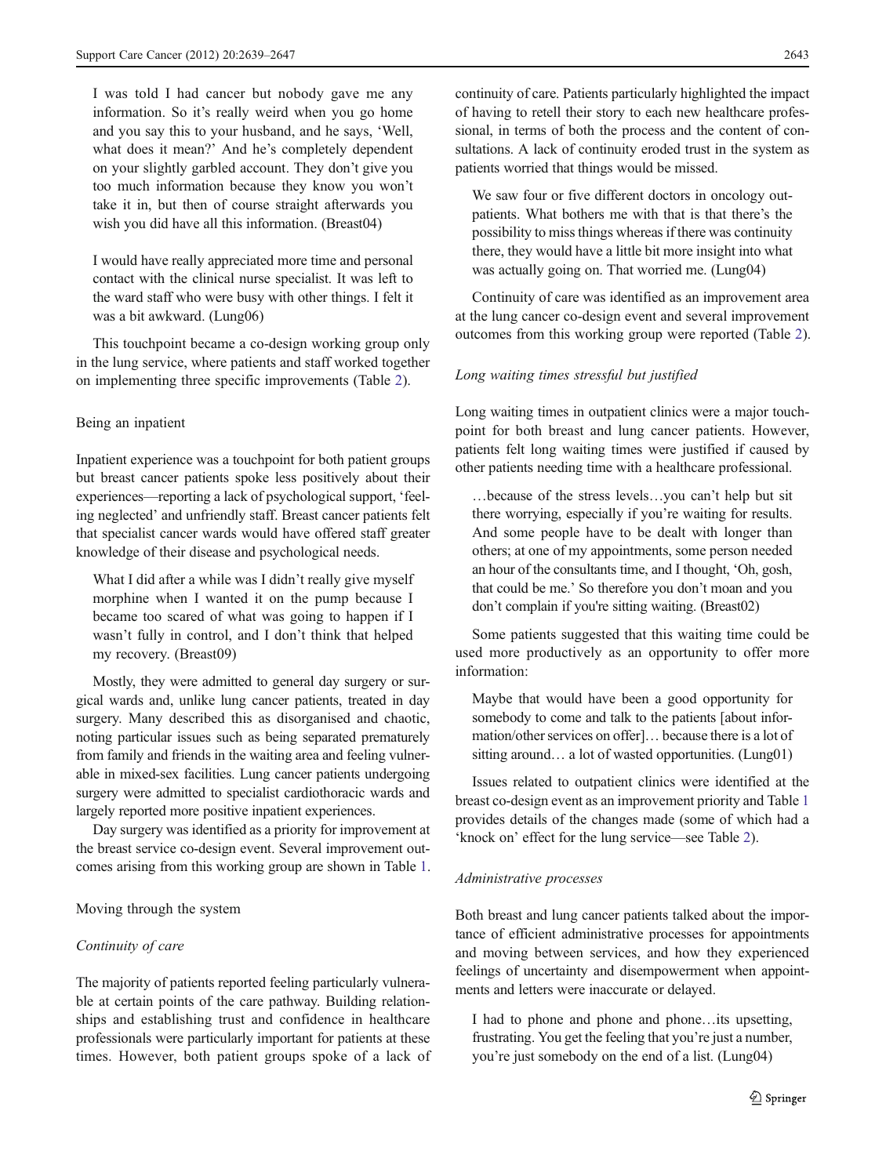I was told I had cancer but nobody gave me any information. So it's really weird when you go home and you say this to your husband, and he says, 'Well, what does it mean?' And he's completely dependent on your slightly garbled account. They don't give you too much information because they know you won't take it in, but then of course straight afterwards you wish you did have all this information. (Breast04)

I would have really appreciated more time and personal contact with the clinical nurse specialist. It was left to the ward staff who were busy with other things. I felt it was a bit awkward. (Lung06)

This touchpoint became a co-design working group only in the lung service, where patients and staff worked together on implementing three specific improvements (Table [2\)](#page-3-0).

#### Being an inpatient

Inpatient experience was a touchpoint for both patient groups but breast cancer patients spoke less positively about their experiences—reporting a lack of psychological support, 'feeling neglected' and unfriendly staff. Breast cancer patients felt that specialist cancer wards would have offered staff greater knowledge of their disease and psychological needs.

What I did after a while was I didn't really give myself morphine when I wanted it on the pump because I became too scared of what was going to happen if I wasn't fully in control, and I don't think that helped my recovery. (Breast09)

Mostly, they were admitted to general day surgery or surgical wards and, unlike lung cancer patients, treated in day surgery. Many described this as disorganised and chaotic, noting particular issues such as being separated prematurely from family and friends in the waiting area and feeling vulnerable in mixed-sex facilities. Lung cancer patients undergoing surgery were admitted to specialist cardiothoracic wards and largely reported more positive inpatient experiences.

Day surgery was identified as a priority for improvement at the breast service co-design event. Several improvement outcomes arising from this working group are shown in Table [1](#page-3-0).

### Moving through the system

## Continuity of care

The majority of patients reported feeling particularly vulnerable at certain points of the care pathway. Building relationships and establishing trust and confidence in healthcare professionals were particularly important for patients at these times. However, both patient groups spoke of a lack of

continuity of care. Patients particularly highlighted the impact of having to retell their story to each new healthcare professional, in terms of both the process and the content of consultations. A lack of continuity eroded trust in the system as patients worried that things would be missed.

We saw four or five different doctors in oncology outpatients. What bothers me with that is that there's the possibility to miss things whereas if there was continuity there, they would have a little bit more insight into what was actually going on. That worried me. (Lung04)

Continuity of care was identified as an improvement area at the lung cancer co-design event and several improvement outcomes from this working group were reported (Table [2\)](#page-3-0).

#### Long waiting times stressful but justified

Long waiting times in outpatient clinics were a major touchpoint for both breast and lung cancer patients. However, patients felt long waiting times were justified if caused by other patients needing time with a healthcare professional.

…because of the stress levels…you can't help but sit there worrying, especially if you're waiting for results. And some people have to be dealt with longer than others; at one of my appointments, some person needed an hour of the consultants time, and I thought, 'Oh, gosh, that could be me.' So therefore you don't moan and you don't complain if you're sitting waiting. (Breast02)

Some patients suggested that this waiting time could be used more productively as an opportunity to offer more information:

Maybe that would have been a good opportunity for somebody to come and talk to the patients [about information/other services on offer]… because there is a lot of sitting around… a lot of wasted opportunities. (Lung01)

Issues related to outpatient clinics were identified at the breast co-design event as an improvement priority and Table [1](#page-3-0) provides details of the changes made (some of which had a 'knock on' effect for the lung service—see Table [2\)](#page-3-0).

#### Administrative processes

Both breast and lung cancer patients talked about the importance of efficient administrative processes for appointments and moving between services, and how they experienced feelings of uncertainty and disempowerment when appointments and letters were inaccurate or delayed.

I had to phone and phone and phone…its upsetting, frustrating. You get the feeling that you're just a number, you're just somebody on the end of a list. (Lung04)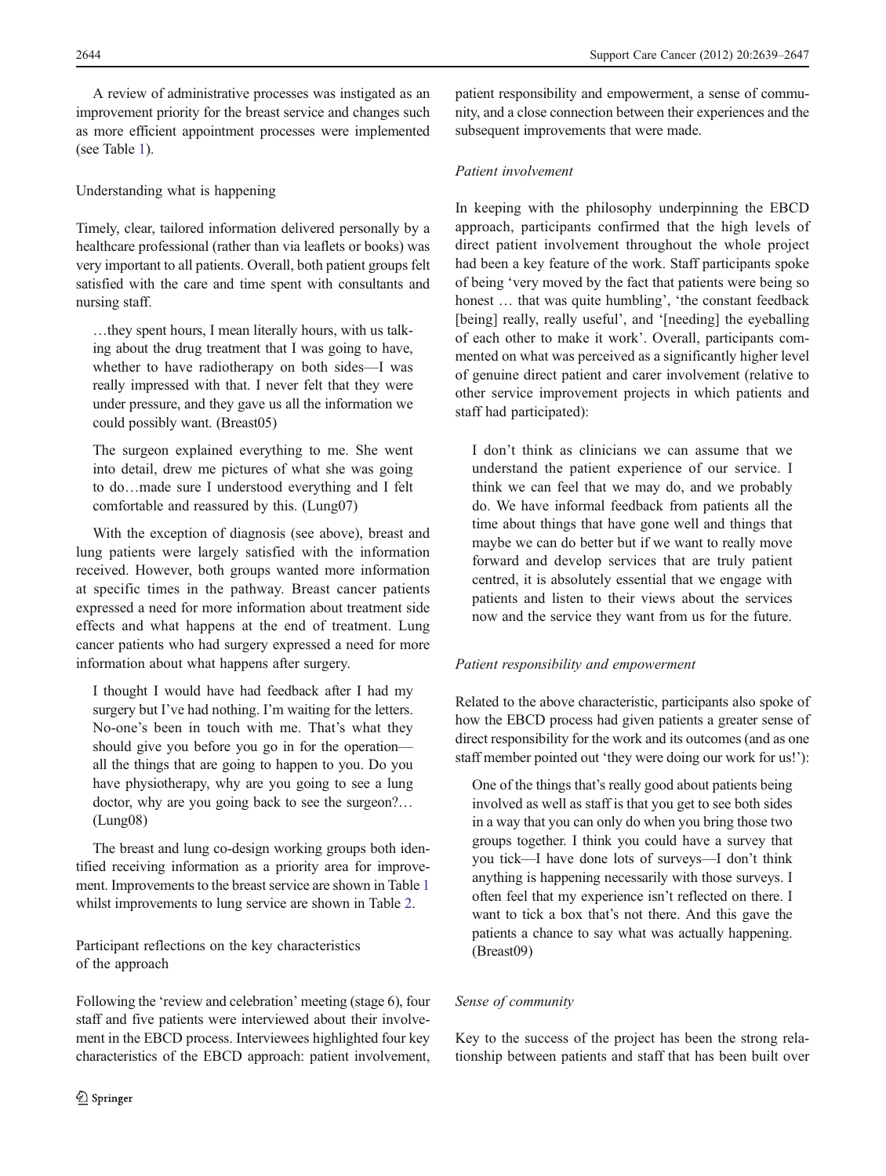A review of administrative processes was instigated as an improvement priority for the breast service and changes such as more efficient appointment processes were implemented (see Table [1](#page-3-0)).

# Understanding what is happening

Timely, clear, tailored information delivered personally by a healthcare professional (rather than via leaflets or books) was very important to all patients. Overall, both patient groups felt satisfied with the care and time spent with consultants and nursing staff.

…they spent hours, I mean literally hours, with us talking about the drug treatment that I was going to have, whether to have radiotherapy on both sides—I was really impressed with that. I never felt that they were under pressure, and they gave us all the information we could possibly want. (Breast05)

The surgeon explained everything to me. She went into detail, drew me pictures of what she was going to do…made sure I understood everything and I felt comfortable and reassured by this. (Lung07)

With the exception of diagnosis (see above), breast and lung patients were largely satisfied with the information received. However, both groups wanted more information at specific times in the pathway. Breast cancer patients expressed a need for more information about treatment side effects and what happens at the end of treatment. Lung cancer patients who had surgery expressed a need for more information about what happens after surgery.

I thought I would have had feedback after I had my surgery but I've had nothing. I'm waiting for the letters. No-one's been in touch with me. That's what they should give you before you go in for the operation all the things that are going to happen to you. Do you have physiotherapy, why are you going to see a lung doctor, why are you going back to see the surgeon?… (Lung08)

The breast and lung co-design working groups both identified receiving information as a priority area for improvement. Improvements to the breast service are shown in Table [1](#page-3-0) whilst improvements to lung service are shown in Table [2.](#page-3-0)

Participant reflections on the key characteristics of the approach

Following the 'review and celebration' meeting (stage 6), four staff and five patients were interviewed about their involvement in the EBCD process. Interviewees highlighted four key characteristics of the EBCD approach: patient involvement,

patient responsibility and empowerment, a sense of community, and a close connection between their experiences and the subsequent improvements that were made.

# Patient involvement

In keeping with the philosophy underpinning the EBCD approach, participants confirmed that the high levels of direct patient involvement throughout the whole project had been a key feature of the work. Staff participants spoke of being 'very moved by the fact that patients were being so honest … that was quite humbling', 'the constant feedback [being] really, really useful', and '[needing] the eyeballing of each other to make it work'. Overall, participants commented on what was perceived as a significantly higher level of genuine direct patient and carer involvement (relative to other service improvement projects in which patients and staff had participated):

I don't think as clinicians we can assume that we understand the patient experience of our service. I think we can feel that we may do, and we probably do. We have informal feedback from patients all the time about things that have gone well and things that maybe we can do better but if we want to really move forward and develop services that are truly patient centred, it is absolutely essential that we engage with patients and listen to their views about the services now and the service they want from us for the future.

# Patient responsibility and empowerment

Related to the above characteristic, participants also spoke of how the EBCD process had given patients a greater sense of direct responsibility for the work and its outcomes (and as one staff member pointed out 'they were doing our work for us!'):

One of the things that's really good about patients being involved as well as staff is that you get to see both sides in a way that you can only do when you bring those two groups together. I think you could have a survey that you tick—I have done lots of surveys—I don't think anything is happening necessarily with those surveys. I often feel that my experience isn't reflected on there. I want to tick a box that's not there. And this gave the patients a chance to say what was actually happening. (Breast09)

# Sense of community

Key to the success of the project has been the strong relationship between patients and staff that has been built over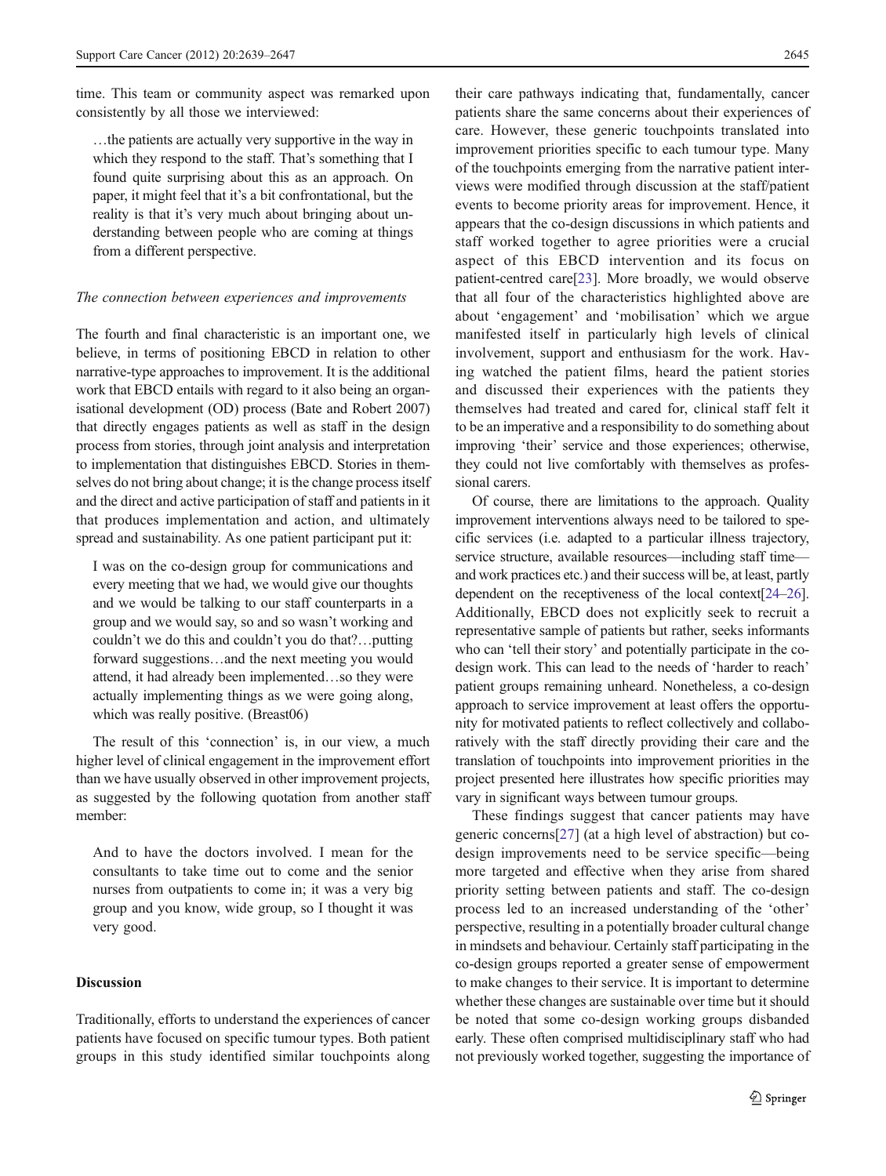time. This team or community aspect was remarked upon consistently by all those we interviewed:

…the patients are actually very supportive in the way in which they respond to the staff. That's something that I found quite surprising about this as an approach. On paper, it might feel that it's a bit confrontational, but the reality is that it's very much about bringing about understanding between people who are coming at things from a different perspective.

## The connection between experiences and improvements

The fourth and final characteristic is an important one, we believe, in terms of positioning EBCD in relation to other narrative-type approaches to improvement. It is the additional work that EBCD entails with regard to it also being an organisational development (OD) process (Bate and Robert 2007) that directly engages patients as well as staff in the design process from stories, through joint analysis and interpretation to implementation that distinguishes EBCD. Stories in themselves do not bring about change; it is the change process itself and the direct and active participation of staff and patients in it that produces implementation and action, and ultimately spread and sustainability. As one patient participant put it:

I was on the co-design group for communications and every meeting that we had, we would give our thoughts and we would be talking to our staff counterparts in a group and we would say, so and so wasn't working and couldn't we do this and couldn't you do that?…putting forward suggestions…and the next meeting you would attend, it had already been implemented…so they were actually implementing things as we were going along, which was really positive. (Breast06)

The result of this 'connection' is, in our view, a much higher level of clinical engagement in the improvement effort than we have usually observed in other improvement projects, as suggested by the following quotation from another staff member:

And to have the doctors involved. I mean for the consultants to take time out to come and the senior nurses from outpatients to come in; it was a very big group and you know, wide group, so I thought it was very good.

## Discussion

Traditionally, efforts to understand the experiences of cancer patients have focused on specific tumour types. Both patient groups in this study identified similar touchpoints along

their care pathways indicating that, fundamentally, cancer patients share the same concerns about their experiences of care. However, these generic touchpoints translated into improvement priorities specific to each tumour type. Many of the touchpoints emerging from the narrative patient interviews were modified through discussion at the staff/patient events to become priority areas for improvement. Hence, it appears that the co-design discussions in which patients and staff worked together to agree priorities were a crucial aspect of this EBCD intervention and its focus on patient-centred care[[23\]](#page-7-0). More broadly, we would observe that all four of the characteristics highlighted above are about 'engagement' and 'mobilisation' which we argue manifested itself in particularly high levels of clinical involvement, support and enthusiasm for the work. Having watched the patient films, heard the patient stories and discussed their experiences with the patients they themselves had treated and cared for, clinical staff felt it to be an imperative and a responsibility to do something about improving 'their' service and those experiences; otherwise, they could not live comfortably with themselves as professional carers.

Of course, there are limitations to the approach. Quality improvement interventions always need to be tailored to specific services (i.e. adapted to a particular illness trajectory, service structure, available resources—including staff time and work practices etc.) and their success will be, at least, partly dependent on the receptiveness of the local context[[24](#page-8-0)–[26\]](#page-8-0). Additionally, EBCD does not explicitly seek to recruit a representative sample of patients but rather, seeks informants who can 'tell their story' and potentially participate in the codesign work. This can lead to the needs of 'harder to reach' patient groups remaining unheard. Nonetheless, a co-design approach to service improvement at least offers the opportunity for motivated patients to reflect collectively and collaboratively with the staff directly providing their care and the translation of touchpoints into improvement priorities in the project presented here illustrates how specific priorities may vary in significant ways between tumour groups.

These findings suggest that cancer patients may have generic concerns[\[27](#page-8-0)] (at a high level of abstraction) but codesign improvements need to be service specific—being more targeted and effective when they arise from shared priority setting between patients and staff. The co-design process led to an increased understanding of the 'other' perspective, resulting in a potentially broader cultural change in mindsets and behaviour. Certainly staff participating in the co-design groups reported a greater sense of empowerment to make changes to their service. It is important to determine whether these changes are sustainable over time but it should be noted that some co-design working groups disbanded early. These often comprised multidisciplinary staff who had not previously worked together, suggesting the importance of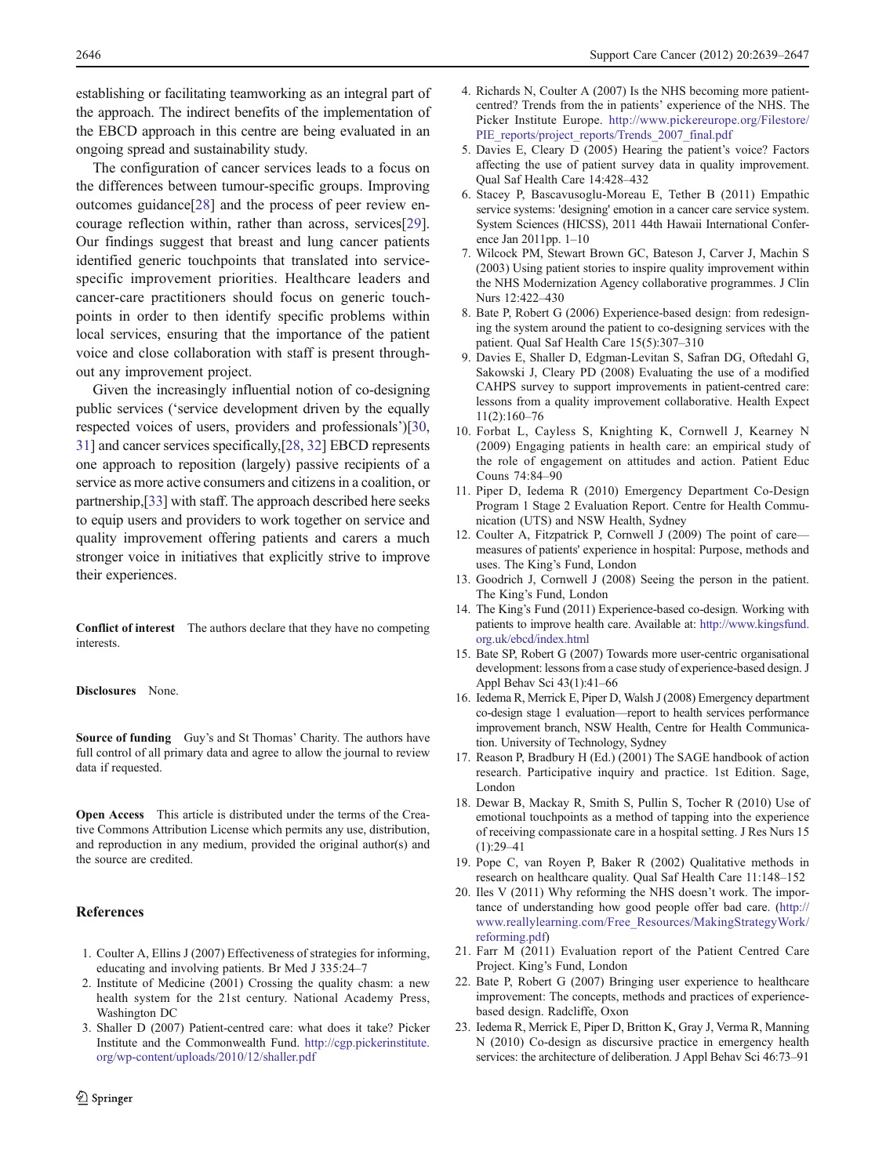<span id="page-7-0"></span>establishing or facilitating teamworking as an integral part of the approach. The indirect benefits of the implementation of the EBCD approach in this centre are being evaluated in an ongoing spread and sustainability study.

The configuration of cancer services leads to a focus on the differences between tumour-specific groups. Improving outcomes guidance[\[28](#page-8-0)] and the process of peer review encourage reflection within, rather than across, services[\[29](#page-8-0)]. Our findings suggest that breast and lung cancer patients identified generic touchpoints that translated into servicespecific improvement priorities. Healthcare leaders and cancer-care practitioners should focus on generic touchpoints in order to then identify specific problems within local services, ensuring that the importance of the patient voice and close collaboration with staff is present throughout any improvement project.

Given the increasingly influential notion of co-designing public services ('service development driven by the equally respected voices of users, providers and professionals')[\[30,](#page-8-0) [31\]](#page-8-0) and cancer services specifically,[\[28,](#page-8-0) [32](#page-8-0)] EBCD represents one approach to reposition (largely) passive recipients of a service as more active consumers and citizens in a coalition, or partnership,[[33\]](#page-8-0) with staff. The approach described here seeks to equip users and providers to work together on service and quality improvement offering patients and carers a much stronger voice in initiatives that explicitly strive to improve their experiences.

Conflict of interest The authors declare that they have no competing interests.

Disclosures None.

Source of funding Guy's and St Thomas' Charity. The authors have full control of all primary data and agree to allow the journal to review data if requested.

Open Access This article is distributed under the terms of the Creative Commons Attribution License which permits any use, distribution, and reproduction in any medium, provided the original author(s) and the source are credited.

#### References

- 1. Coulter A, Ellins J (2007) Effectiveness of strategies for informing, educating and involving patients. Br Med J 335:24–7
- 2. Institute of Medicine (2001) Crossing the quality chasm: a new health system for the 21st century. National Academy Press, Washington DC
- 3. Shaller D (2007) Patient-centred care: what does it take? Picker Institute and the Commonwealth Fund. [http://cgp.pickerinstitute.](http://cgp.pickerinstitute.org/wp-content/uploads/2010/12/shaller.pdf) [org/wp-content/uploads/2010/12/shaller.pdf](http://cgp.pickerinstitute.org/wp-content/uploads/2010/12/shaller.pdf)
- 4. Richards N, Coulter A (2007) Is the NHS becoming more patientcentred? Trends from the in patients' experience of the NHS. The Picker Institute Europe. [http://www.pickereurope.org/Filestore/](http://www.pickereurope.org/Filestore/PIE_reports/project_reports/Trends_2007_final.pdf) [PIE\\_reports/project\\_reports/Trends\\_2007\\_final.pdf](http://www.pickereurope.org/Filestore/PIE_reports/project_reports/Trends_2007_final.pdf)
- 5. Davies E, Cleary D (2005) Hearing the patient's voice? Factors affecting the use of patient survey data in quality improvement. Qual Saf Health Care 14:428–432
- 6. Stacey P, Bascavusoglu-Moreau E, Tether B (2011) Empathic service systems: 'designing' emotion in a cancer care service system. System Sciences (HICSS), 2011 44th Hawaii International Conference Jan 2011pp. 1–10
- 7. Wilcock PM, Stewart Brown GC, Bateson J, Carver J, Machin S (2003) Using patient stories to inspire quality improvement within the NHS Modernization Agency collaborative programmes. J Clin Nurs 12:422–430
- 8. Bate P, Robert G (2006) Experience-based design: from redesigning the system around the patient to co-designing services with the patient. Qual Saf Health Care 15(5):307–310
- 9. Davies E, Shaller D, Edgman-Levitan S, Safran DG, Oftedahl G, Sakowski J, Cleary PD (2008) Evaluating the use of a modified CAHPS survey to support improvements in patient-centred care: lessons from a quality improvement collaborative. Health Expect 11(2):160–76
- 10. Forbat L, Cayless S, Knighting K, Cornwell J, Kearney N (2009) Engaging patients in health care: an empirical study of the role of engagement on attitudes and action. Patient Educ Couns 74:84–90
- 11. Piper D, Iedema R (2010) Emergency Department Co-Design Program 1 Stage 2 Evaluation Report. Centre for Health Communication (UTS) and NSW Health, Sydney
- 12. Coulter A, Fitzpatrick P, Cornwell J (2009) The point of care measures of patients' experience in hospital: Purpose, methods and uses. The King's Fund, London
- 13. Goodrich J, Cornwell J (2008) Seeing the person in the patient. The King's Fund, London
- 14. The King's Fund (2011) Experience-based co-design. Working with patients to improve health care. Available at: [http://www.kingsfund.](http://www.kingsfund.org.uk/ebcd/index.html) [org.uk/ebcd/index.html](http://www.kingsfund.org.uk/ebcd/index.html)
- 15. Bate SP, Robert G (2007) Towards more user-centric organisational development: lessons from a case study of experience-based design. J Appl Behav Sci 43(1):41–66
- 16. Iedema R, Merrick E, Piper D, Walsh J (2008) Emergency department co-design stage 1 evaluation—report to health services performance improvement branch, NSW Health, Centre for Health Communication. University of Technology, Sydney
- 17. Reason P, Bradbury H (Ed.) (2001) The SAGE handbook of action research. Participative inquiry and practice. 1st Edition. Sage, London
- 18. Dewar B, Mackay R, Smith S, Pullin S, Tocher R (2010) Use of emotional touchpoints as a method of tapping into the experience of receiving compassionate care in a hospital setting. J Res Nurs 15  $(1):29-41$
- 19. Pope C, van Royen P, Baker R (2002) Qualitative methods in research on healthcare quality. Qual Saf Health Care 11:148–152
- 20. Iles V (2011) Why reforming the NHS doesn't work. The importance of understanding how good people offer bad care. [\(http://](http://www.reallylearning.com/Free_Resources/MakingStrategyWork/reforming.pdf) [www.reallylearning.com/Free\\_Resources/MakingStrategyWork/](http://www.reallylearning.com/Free_Resources/MakingStrategyWork/reforming.pdf) [reforming.pdf\)](http://www.reallylearning.com/Free_Resources/MakingStrategyWork/reforming.pdf)
- 21. Farr M (2011) Evaluation report of the Patient Centred Care Project. King's Fund, London
- 22. Bate P, Robert G (2007) Bringing user experience to healthcare improvement: The concepts, methods and practices of experiencebased design. Radcliffe, Oxon
- 23. Iedema R, Merrick E, Piper D, Britton K, Gray J, Verma R, Manning N (2010) Co-design as discursive practice in emergency health services: the architecture of deliberation. J Appl Behav Sci 46:73–91